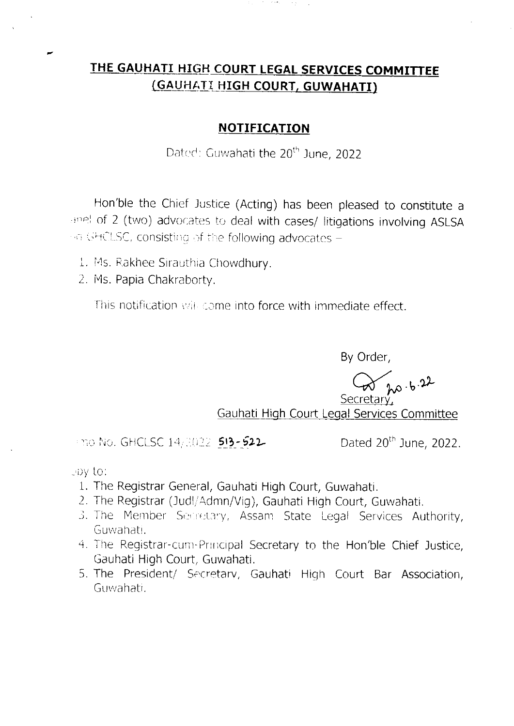## THE GAUHATI HIGH COURT LEGAL SERVICES COMMITTEE (GAUHATI HIGH COURT, GUWAHATI)

计可分布 人名戈

## **NOTIFICATION**

Dated: Guwahati the 20<sup>th</sup> June, 2022

Hon'ble the Chief Justice (Acting) has been pleased to constitute a anel of 2 (two) advocates to deal with cases/ litigations involving ASLSA on GHCLSC, consisting of the following advocates -

- 1. Ms. Rakhee Sirauthia Chowdhury.
- 2. Ms. Papia Chakraborty.

This notification will come into force with immediate effect.

By Order,

 $\alpha$  ho b 22

Gauhati High Court Legal Services Committee

 $\pm$ no No. GHCLSC 14/2022 513-522

Dated 20<sup>th</sup> June, 2022.

epy to:

- 1. The Registrar General, Gauhati High Court, Guwahati.
- 2. The Registrar (Judl/Admn/Vig), Gauhati High Court, Guwahati.
- 3. The Member Secretary, Assam State Legal Services Authority, Guwahati.
- 4. The Registrar-cum-Principal Secretary to the Hon'ble Chief Justice, Gauhati High Court, Guwahati.
- 5. The President/ Secretary, Gauhati High Court Bar Association, Guwahati.